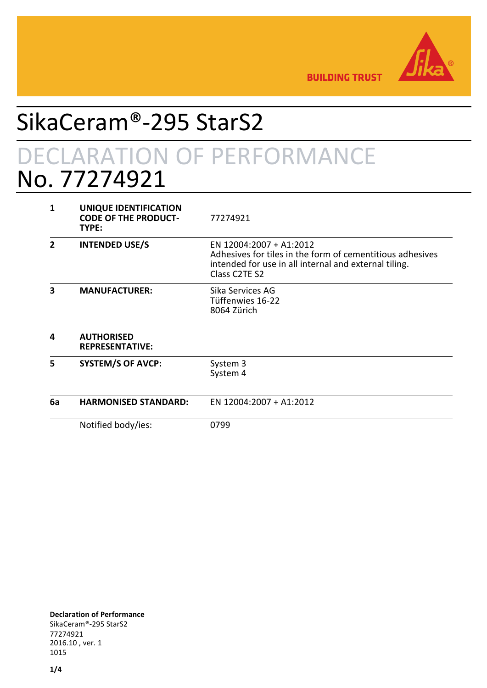

**BUILDING TRUST** 

## SikaCeram®-295 StarS2 DECLARATION OF PERFORMANCE No. 77274921

| 1  | UNIQUE IDENTIFICATION<br><b>CODE OF THE PRODUCT-</b><br>TYPE: | 77274921                                                                                                                                                                                |
|----|---------------------------------------------------------------|-----------------------------------------------------------------------------------------------------------------------------------------------------------------------------------------|
| 2  | <b>INTENDED USE/S</b>                                         | EN 12004:2007 + A1:2012<br>Adhesives for tiles in the form of cementitious adhesives<br>intended for use in all internal and external tiling.<br>Class C <sub>2</sub> TE S <sub>2</sub> |
| 3  | <b>MANUFACTURER:</b>                                          | Sika Services AG<br>Tüffenwies 16-22<br>8064 Zürich                                                                                                                                     |
| Δ  | <b>AUTHORISED</b><br><b>REPRESENTATIVE:</b>                   |                                                                                                                                                                                         |
| 5  | <b>SYSTEM/S OF AVCP:</b>                                      | System 3<br>System 4                                                                                                                                                                    |
| 6a | <b>HARMONISED STANDARD:</b>                                   | EN 12004:2007 + A1:2012                                                                                                                                                                 |
|    | Notified body/ies:                                            | 0799                                                                                                                                                                                    |

**Declaration of Performance** SikaCeram®-295 StarS2 77274921 2016.10 , ver. 1 1015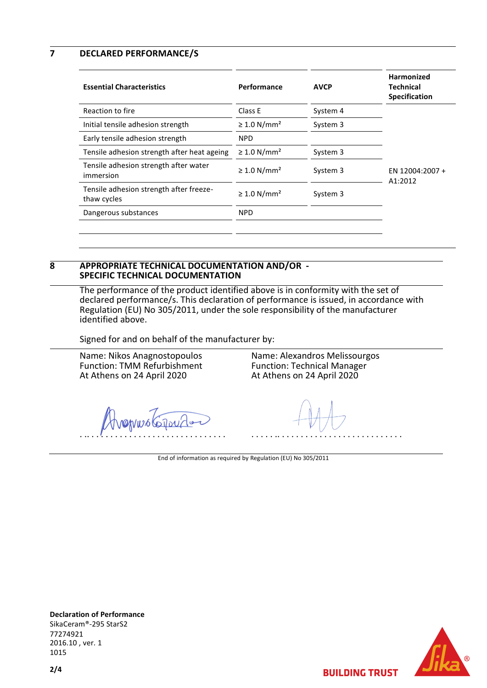**7 DECLARED PERFORMANCE/S**

| <b>Essential Characteristics</b>                       | Performance                  | <b>AVCP</b> | <b>Harmonized</b><br><b>Technical</b><br><b>Specification</b> |
|--------------------------------------------------------|------------------------------|-------------|---------------------------------------------------------------|
| Reaction to fire                                       | Class E                      | System 4    |                                                               |
| Initial tensile adhesion strength                      | $\geq 1.0$ N/mm <sup>2</sup> | System 3    |                                                               |
| Early tensile adhesion strength                        | <b>NPD</b>                   |             |                                                               |
| Tensile adhesion strength after heat ageing            | $\geq 1.0$ N/mm <sup>2</sup> | System 3    |                                                               |
| Tensile adhesion strength after water<br>immersion     | $\geq 1.0$ N/mm <sup>2</sup> | System 3    | EN 12004:2007 +<br>A1:2012                                    |
| Tensile adhesion strength after freeze-<br>thaw cycles | $\geq 1.0$ N/mm <sup>2</sup> | System 3    |                                                               |
| Dangerous substances                                   | <b>NPD</b>                   |             |                                                               |
|                                                        |                              |             |                                                               |

## **8 APPROPRIATE TECHNICAL DOCUMENTATION AND/OR - SPECIFIC TECHNICAL DOCUMENTATION**

The performance of the product identified above is in conformity with the set of declared performance/s. This declaration of performance is issued, in accordance with Regulation (EU) No 305/2011, under the sole responsibility of the manufacturer identified above.

Signed for and on behalf of the manufacturer by:

Name: Nikos Anagnostopoulos Function: TMM Refurbishment At Athens on 24 April 2020

Name: Alexandros Melissourgos Function: Technical Manager At Athens on 24 April 2020

ervus Croi . .. . . . . . . . . . . . . . . . . . . . . . . . . . . . . .

. . . . . .. . . . . . . . . . . . . . . . . . . . . . . . . . .

End of information as required by Regulation (EU) No 305/2011

**Declaration of Performance** SikaCeram®-295 StarS2 77274921 2016.10 , ver. 1 1015



**BUILDING TRUST**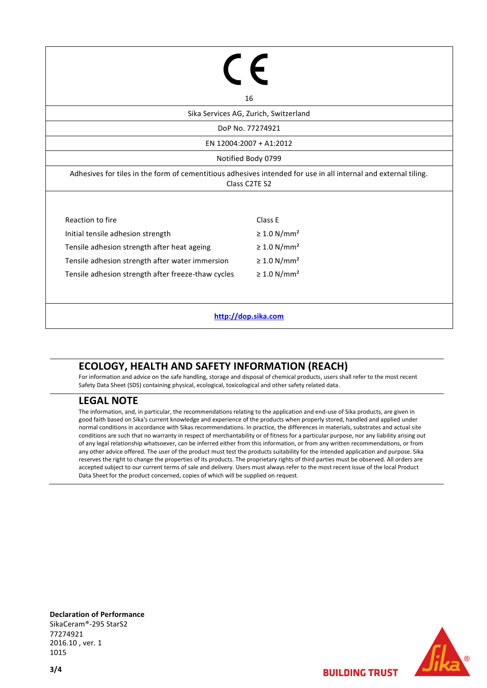|                                                 | 16                                                                                                                               |  |  |  |
|-------------------------------------------------|----------------------------------------------------------------------------------------------------------------------------------|--|--|--|
| Sika Services AG, Zurich, Switzerland           |                                                                                                                                  |  |  |  |
| DoP No. 77274921                                |                                                                                                                                  |  |  |  |
| EN 12004:2007 + A1:2012                         |                                                                                                                                  |  |  |  |
|                                                 | Notified Body 0799                                                                                                               |  |  |  |
|                                                 | Adhesives for tiles in the form of cementitious adhesives intended for use in all internal and external tiling.<br>Class C2TE S2 |  |  |  |
| Reaction to fire                                | Class E                                                                                                                          |  |  |  |
| Initial tensile adhesion strength               | $\geq 1.0$ N/mm <sup>2</sup>                                                                                                     |  |  |  |
|                                                 |                                                                                                                                  |  |  |  |
| Tensile adhesion strength after heat ageing     | $\geq 1.0$ N/mm <sup>2</sup>                                                                                                     |  |  |  |
| Tensile adhesion strength after water immersion | $\geq 1.0$ N/mm <sup>2</sup>                                                                                                     |  |  |  |

**[http://dop.sika.com](http://dop.sika.com/)**

## **ECOLOGY, HEALTH AND SAFETY INFORMATION (REACH)**

For information and advice on the safe handling, storage and disposal of chemical products, users shall refer to the most recent Safety Data Sheet (SDS) containing physical, ecological, toxicological and other safety related data.

## **LEGAL NOTE**

The information, and, in particular, the recommendations relating to the application and end-use of Sika products, are given in good faith based on Sika's current knowledge and experience of the products when properly stored, handled and applied under normal conditions in accordance with Sikas recommendations. In practice, the differences in materials, substrates and actual site conditions are such that no warranty in respect of merchantability or of fitness for a particular purpose, nor any liability arising out of any legal relationship whatsoever, can be inferred either from this information, or from any written recommendations, or from any other advice offered. The user of the product must test the products suitability for the intended application and purpose. Sika reserves the right to change the properties of its products. The proprietary rights of third parties must be observed. All orders are accepted subject to our current terms of sale and delivery. Users must always refer to the most recent issue of the local Product Data Sheet for the product concerned, copies of which will be supplied on request.

**Declaration of Performance** SikaCeram®-295 StarS2 77274921 2016.10 , ver. 1 1015



**BUILDING TRUST**